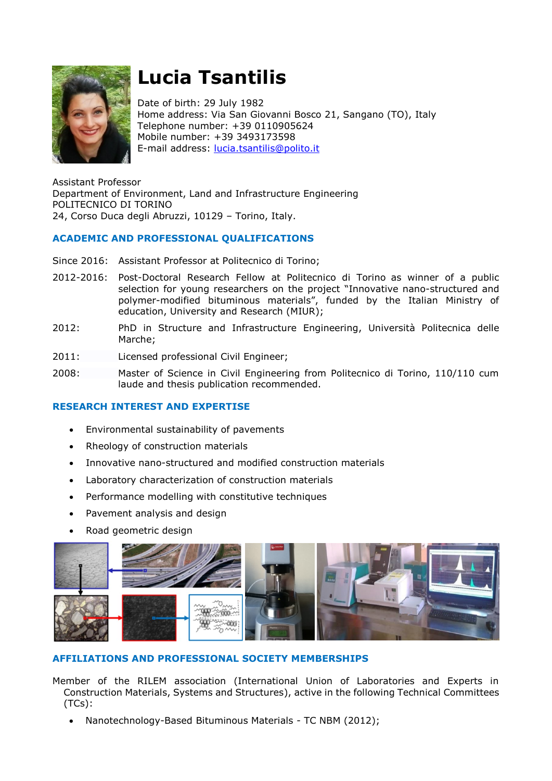

# **Lucia Tsantilis**

Date of birth: 29 July 1982 Home address: Via San Giovanni Bosco 21, Sangano (TO), Italy Telephone number: +39 0110905624 Mobile number: +39 3493173598 E-mail address: [lucia.tsantilis@polito.it](mailto:lucia.tsantilis@polito.it)

Assistant Professor Department of Environment, Land and Infrastructure Engineering POLITECNICO DI TORINO 24, Corso Duca degli Abruzzi, 10129 – Torino, Italy.

# **ACADEMIC AND PROFESSIONAL QUALIFICATIONS**

- Since 2016: Assistant Professor at Politecnico di Torino;
- 2012-2016: Post-Doctoral Research Fellow at Politecnico di Torino as winner of a public selection for young researchers on the project "Innovative nano-structured and polymer-modified bituminous materials", funded by the Italian Ministry of education, University and Research (MIUR);
- 2012: PhD in Structure and Infrastructure Engineering, Università Politecnica delle Marche;
- 2011: Licensed professional Civil Engineer;
- 2008: Master of Science in Civil Engineering from Politecnico di Torino, 110/110 cum laude and thesis publication recommended.

## **RESEARCH INTEREST AND EXPERTISE**

- Environmental sustainability of pavements
- Rheology of construction materials
- Innovative nano-structured and modified construction materials
- Laboratory characterization of construction materials
- Performance modelling with constitutive techniques
- Pavement analysis and design
- Road geometric design



## **AFFILIATIONS AND PROFESSIONAL SOCIETY MEMBERSHIPS**

Member of the RILEM association (International Union of Laboratories and Experts in Construction Materials, Systems and Structures), active in the following Technical Committees (TCs):

Nanotechnology-Based Bituminous Materials - TC NBM (2012);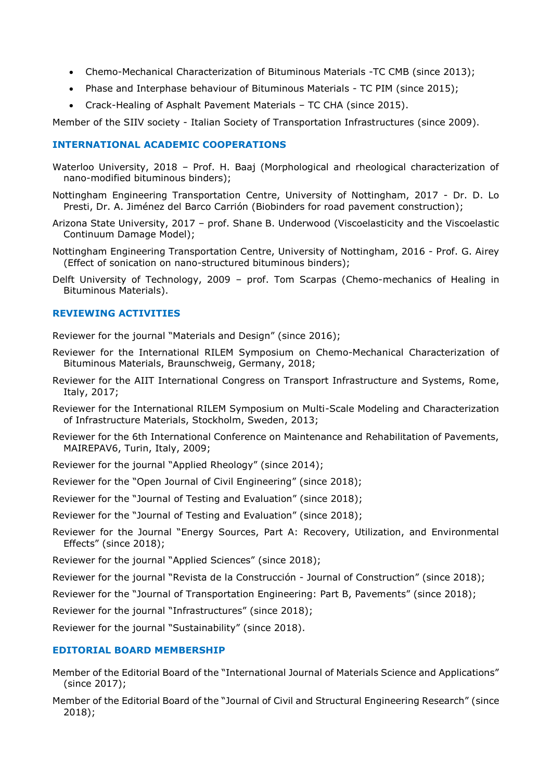- Chemo-Mechanical Characterization of Bituminous Materials -TC CMB (since 2013);
- Phase and Interphase behaviour of Bituminous Materials TC PIM (since 2015);
- Crack-Healing of Asphalt Pavement Materials TC CHA (since 2015).

Member of the SIIV society - Italian Society of Transportation Infrastructures (since 2009).

#### **INTERNATIONAL ACADEMIC COOPERATIONS**

- Waterloo University, 2018 Prof. H. Baaj (Morphological and rheological characterization of nano-modified bituminous binders);
- Nottingham Engineering Transportation Centre, University of Nottingham, 2017 Dr. D. Lo Presti, Dr. A. Jiménez del Barco Carrión (Biobinders for road pavement construction);
- Arizona State University, 2017 prof. Shane B. Underwood (Viscoelasticity and the Viscoelastic Continuum Damage Model);
- Nottingham Engineering Transportation Centre, University of Nottingham, 2016 Prof. G. Airey (Effect of sonication on nano-structured bituminous binders);
- Delft University of Technology, 2009 prof. Tom Scarpas (Chemo-mechanics of Healing in Bituminous Materials).

#### **REVIEWING ACTIVITIES**

Reviewer for the journal "Materials and Design" (since 2016);

- Reviewer for the International RILEM Symposium on Chemo-Mechanical Characterization of Bituminous Materials, Braunschweig, Germany, 2018;
- Reviewer for the AIIT International Congress on Transport Infrastructure and Systems, Rome, Italy, 2017;
- Reviewer for the International RILEM Symposium on Multi-Scale Modeling and Characterization of Infrastructure Materials, Stockholm, Sweden, 2013;
- Reviewer for the 6th International Conference on Maintenance and Rehabilitation of Pavements, MAIREPAV6, Turin, Italy, 2009;
- Reviewer for the journal "Applied Rheology" (since 2014);
- Reviewer for the "Open Journal of Civil Engineering" (since 2018);
- Reviewer for the "Journal of Testing and Evaluation" (since 2018);
- Reviewer for the "Journal of Testing and Evaluation" (since 2018);
- Reviewer for the Journal "Energy Sources, Part A: Recovery, Utilization, and Environmental Effects" (since 2018);

Reviewer for the journal "Applied Sciences" (since 2018);

Reviewer for the journal "Revista de la Construcción - Journal of Construction" (since 2018);

Reviewer for the "Journal of Transportation Engineering: Part B, Pavements" (since 2018);

Reviewer for the journal "Infrastructures" (since 2018);

Reviewer for the journal "Sustainability" (since 2018).

#### **EDITORIAL BOARD MEMBERSHIP**

- Member of the Editorial Board of the "International Journal of Materials Science and Applications" (since 2017);
- Member of the Editorial Board of the "Journal of Civil and Structural Engineering Research" (since 2018);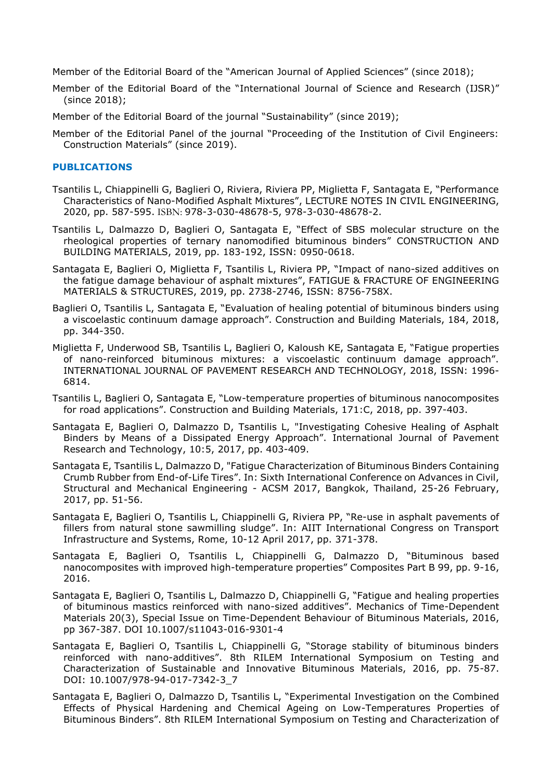Member of the Editorial Board of the "American Journal of Applied Sciences" (since 2018);

Member of the Editorial Board of the "International Journal of Science and Research (IJSR)" (since 2018);

Member of the Editorial Board of the journal "Sustainability" (since 2019);

Member of the Editorial Panel of the journal "Proceeding of the Institution of Civil Engineers: Construction Materials" (since 2019).

## **PUBLICATIONS**

- Tsantilis L, Chiappinelli G, Baglieri O, Riviera, Riviera PP, Miglietta F, Santagata E, "Performance Characteristics of Nano-Modified Asphalt Mixtures", LECTURE NOTES IN CIVIL ENGINEERING, 2020, pp. 587-595. ISBN: 978-3-030-48678-5, 978-3-030-48678-2.
- Tsantilis L, Dalmazzo D, Baglieri O, Santagata E, "Effect of SBS molecular structure on the rheological properties of ternary nanomodified bituminous binders" CONSTRUCTION AND BUILDING MATERIALS, 2019, pp. 183-192, ISSN: 0950-0618.
- Santagata E, Baglieri O, Miglietta F, Tsantilis L, Riviera PP, "Impact of nano-sized additives on the fatigue damage behaviour of asphalt mixtures", FATIGUE & FRACTURE OF ENGINEERING MATERIALS & STRUCTURES, 2019, pp. 2738-2746, ISSN: 8756-758X.
- Baglieri O, Tsantilis L, Santagata E, "Evaluation of healing potential of bituminous binders using a viscoelastic continuum damage approach". Construction and Building Materials, 184, 2018, pp. 344-350.
- Miglietta F, Underwood SB, Tsantilis L, Baglieri O, Kaloush KE, Santagata E, "Fatigue properties of nano-reinforced bituminous mixtures: a viscoelastic continuum damage approach". INTERNATIONAL JOURNAL OF PAVEMENT RESEARCH AND TECHNOLOGY, 2018, ISSN: 1996- 6814.
- Tsantilis L, Baglieri O, Santagata E, "Low-temperature properties of bituminous nanocomposites for road applications". Construction and Building Materials, 171:C, 2018, pp. 397-403.
- Santagata E, Baglieri O, Dalmazzo D, Tsantilis L, "Investigating Cohesive Healing of Asphalt Binders by Means of a Dissipated Energy Approach". International Journal of Pavement Research and Technology, 10:5, 2017, pp. 403-409.
- Santagata E, Tsantilis L, Dalmazzo D, "Fatigue Characterization of Bituminous Binders Containing Crumb Rubber from End-of-Life Tires". In: Sixth International Conference on Advances in Civil, Structural and Mechanical Engineering - ACSM 2017, Bangkok, Thailand, 25-26 February, 2017, pp. 51-56.
- Santagata E, Baglieri O, Tsantilis L, Chiappinelli G, Riviera PP, "Re-use in asphalt pavements of fillers from natural stone sawmilling sludge". In: AIIT International Congress on Transport Infrastructure and Systems, Rome, 10-12 April 2017, pp. 371-378.
- Santagata E, Baglieri O, Tsantilis L, Chiappinelli G, Dalmazzo D, "Bituminous based nanocomposites with improved high-temperature properties" Composites Part B 99, pp. 9-16, 2016.
- Santagata E, Baglieri O, Tsantilis L, Dalmazzo D, Chiappinelli G, "Fatigue and healing properties of bituminous mastics reinforced with nano-sized additives". Mechanics of Time-Dependent Materials 20(3), Special Issue on Time-Dependent Behaviour of Bituminous Materials, 2016, pp 367-387. DOI 10.1007/s11043-016-9301-4
- Santagata E, Baglieri O, Tsantilis L, Chiappinelli G, "Storage stability of bituminous binders reinforced with nano-additives". 8th RILEM International Symposium on Testing and Characterization of Sustainable and Innovative Bituminous Materials, 2016, pp. 75-87. DOI: 10.1007/978-94-017-7342-3\_7
- Santagata E, Baglieri O, Dalmazzo D, Tsantilis L, "Experimental Investigation on the Combined Effects of Physical Hardening and Chemical Ageing on Low-Temperatures Properties of Bituminous Binders". 8th RILEM International Symposium on Testing and Characterization of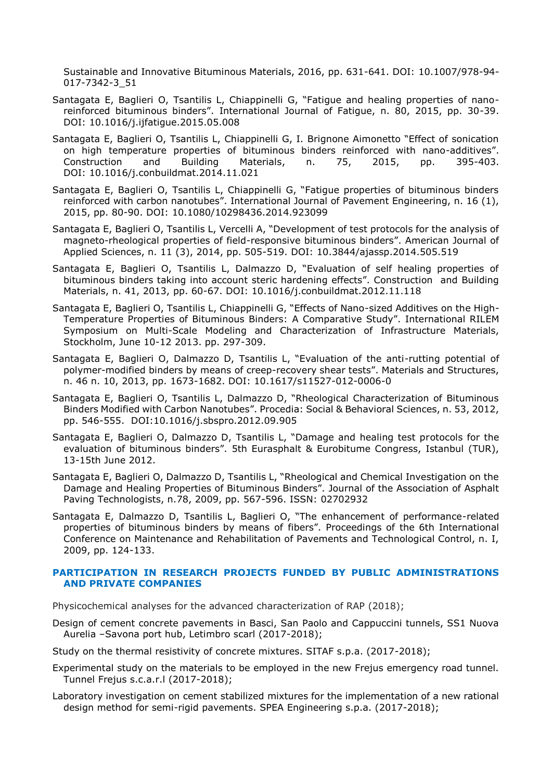Sustainable and Innovative Bituminous Materials, 2016, pp. 631-641. DOI: 10.1007/978-94- 017-7342-3\_51

- Santagata E, Baglieri O, Tsantilis L, Chiappinelli G, "Fatigue and healing properties of nanoreinforced bituminous binders". International Journal of Fatigue, n. 80, 2015, pp. 30-39. DOI: 10.1016/j.ijfatigue.2015.05.008
- Santagata E, Baglieri O, Tsantilis L, Chiappinelli G, I. Brignone Aimonetto "Effect of sonication on high temperature properties of bituminous binders reinforced with nano-additives". Construction and Building Materials, n. 75, 2015, pp. 395-403. DOI: 10.1016/j.conbuildmat.2014.11.021
- Santagata E, Baglieri O, Tsantilis L, Chiappinelli G, "Fatigue properties of bituminous binders reinforced with carbon nanotubes". International Journal of Pavement Engineering, n. 16 (1), 2015, pp. 80-90. DOI: 10.1080/10298436.2014.923099
- Santagata E, Baglieri O, Tsantilis L, Vercelli A, "Development of test protocols for the analysis of magneto-rheological properties of field-responsive bituminous binders". American Journal of Applied Sciences, n. 11 (3), 2014, pp. 505-519. DOI: 10.3844/ajassp.2014.505.519
- Santagata E, Baglieri O, Tsantilis L, Dalmazzo D, "Evaluation of self healing properties of bituminous binders taking into account steric hardening effects". Construction and Building Materials, n. 41, 2013, pp. 60-67. DOI: 10.1016/j.conbuildmat.2012.11.118
- Santagata E, Baglieri O, Tsantilis L, Chiappinelli G, "Effects of Nano-sized Additives on the High-Temperature Properties of Bituminous Binders: A Comparative Study". International RILEM Symposium on Multi-Scale Modeling and Characterization of Infrastructure Materials, Stockholm, June 10-12 2013. pp. 297-309.
- Santagata E, Baglieri O, Dalmazzo D, Tsantilis L, "Evaluation of the anti-rutting potential of polymer-modified binders by means of creep-recovery shear tests". Materials and Structures, n. 46 n. 10, 2013, pp. 1673-1682. DOI: 10.1617/s11527-012-0006-0
- Santagata E, Baglieri O, Tsantilis L, Dalmazzo D, "Rheological Characterization of Bituminous Binders Modified with Carbon Nanotubes". Procedia: Social & Behavioral Sciences, n. 53, 2012, pp. 546-555. [DOI:10.1016/j.sbspro.2012.09.905](http://dx.doi.org/10.1016/j.sbspro.2012.09.905)
- Santagata E, Baglieri O, Dalmazzo D, Tsantilis L, "Damage and healing test protocols for the evaluation of bituminous binders". 5th Eurasphalt & Eurobitume Congress, Istanbul (TUR), 13-15th June 2012.
- Santagata E, Baglieri O, Dalmazzo D, Tsantilis L, "Rheological and Chemical Investigation on the Damage and Healing Properties of Bituminous Binders". Journal of the Association of Asphalt Paving Technologists, n.78, 2009, pp. 567-596. ISSN: 02702932
- Santagata E, Dalmazzo D, Tsantilis L, Baglieri O, "The enhancement of performance-related properties of bituminous binders by means of fibers". Proceedings of the 6th International Conference on Maintenance and Rehabilitation of Pavements and Technological Control, n. I, 2009, pp. 124-133.

#### **PARTICIPATION IN RESEARCH PROJECTS FUNDED BY PUBLIC ADMINISTRATIONS AND PRIVATE COMPANIES**

Physicochemical analyses for the advanced characterization of RAP (2018);

- Design of cement concrete pavements in Basci, San Paolo and Cappuccini tunnels, SS1 Nuova Aurelia –Savona port hub, Letimbro scarl (2017-2018);
- Study on the thermal resistivity of concrete mixtures. SITAF s.p.a. (2017-2018);
- Experimental study on the materials to be employed in the new Frejus emergency road tunnel. Tunnel Frejus s.c.a.r.l (2017-2018);
- Laboratory investigation on cement stabilized mixtures for the implementation of a new rational design method for semi-rigid pavements. SPEA Engineering s.p.a. (2017-2018);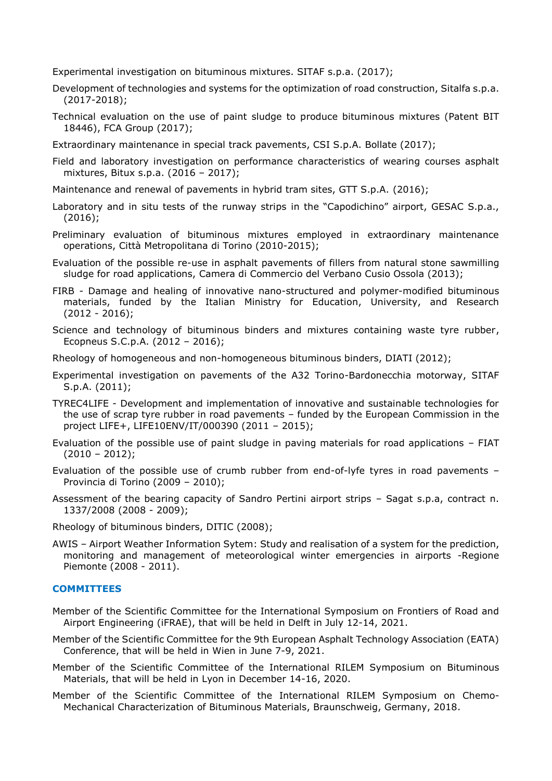Experimental investigation on bituminous mixtures. SITAF s.p.a. (2017);

- Development of technologies and systems for the optimization of road construction, Sitalfa s.p.a. (2017-2018);
- Technical evaluation on the use of paint sludge to produce bituminous mixtures (Patent BIT 18446), FCA Group (2017);
- Extraordinary maintenance in special track pavements, CSI S.p.A. Bollate (2017);
- Field and laboratory investigation on performance characteristics of wearing courses asphalt mixtures, Bitux s.p.a. (2016 – 2017);
- Maintenance and renewal of pavements in hybrid tram sites, GTT S.p.A. (2016);
- Laboratory and in situ tests of the runway strips in the "Capodichino" airport, GESAC S.p.a., (2016);
- Preliminary evaluation of bituminous mixtures employed in extraordinary maintenance operations, Città Metropolitana di Torino (2010-2015);
- Evaluation of the possible re-use in asphalt pavements of fillers from natural stone sawmilling sludge for road applications, Camera di Commercio del Verbano Cusio Ossola (2013);
- FIRB Damage and healing of innovative nano-structured and polymer-modified bituminous materials, funded by the Italian Ministry for Education, University, and Research  $(2012 - 2016)$ ;
- Science and technology of bituminous binders and mixtures containing waste tyre rubber, Ecopneus S.C.p.A. (2012 – 2016);
- Rheology of homogeneous and non-homogeneous bituminous binders, DIATI (2012);
- Experimental investigation on pavements of the A32 Torino-Bardonecchia motorway, SITAF S.p.A. (2011);
- TYREC4LIFE Development and implementation of innovative and sustainable technologies for the use of scrap tyre rubber in road pavements – funded by the European Commission in the project LIFE+, LIFE10ENV/IT/000390 (2011 – 2015);
- Evaluation of the possible use of paint sludge in paving materials for road applications FIAT (2010 – 2012);
- Evaluation of the possible use of crumb rubber from end-of-lyfe tyres in road pavements Provincia di Torino (2009 – 2010);
- Assessment of the bearing capacity of Sandro Pertini airport strips Sagat s.p.a, contract n. 1337/2008 (2008 - 2009);
- Rheology of bituminous binders, DITIC (2008);
- AWIS Airport Weather Information Sytem: Study and realisation of a system for the prediction, monitoring and management of meteorological winter emergencies in airports -Regione Piemonte (2008 - 2011).

#### **COMMITTEES**

- Member of the Scientific Committee for the International Symposium on Frontiers of Road and Airport Engineering (iFRAE), that will be held in Delft in July 12-14, 2021.
- Member of the Scientific Committee for the 9th European Asphalt Technology Association (EATA) Conference, that will be held in Wien in June 7-9, 2021.
- Member of the Scientific Committee of the International RILEM Symposium on Bituminous Materials, that will be held in Lyon in December 14-16, 2020.
- Member of the Scientific Committee of the International RILEM Symposium on Chemo-Mechanical Characterization of Bituminous Materials, Braunschweig, Germany, 2018.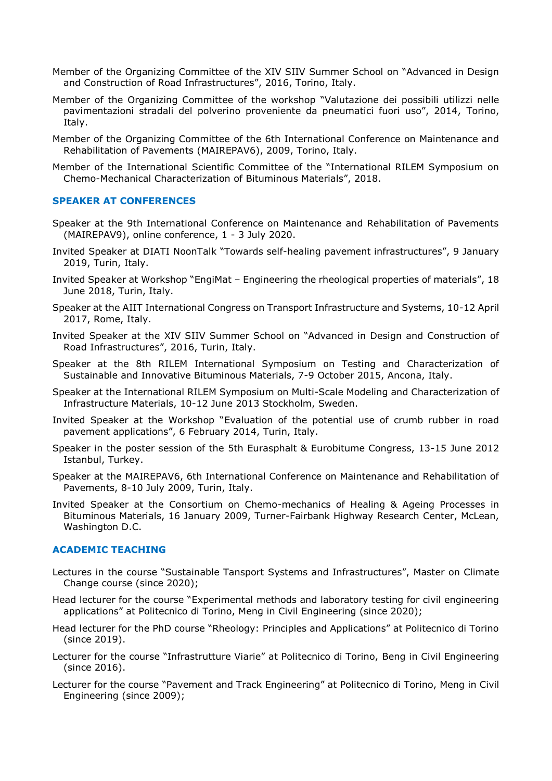- Member of the Organizing Committee of the XIV SIIV Summer School on "Advanced in Design and Construction of Road Infrastructures", 2016, Torino, Italy.
- Member of the Organizing Committee of the workshop "Valutazione dei possibili utilizzi nelle pavimentazioni stradali del polverino proveniente da pneumatici fuori uso", 2014, Torino, Italy.
- Member of the Organizing Committee of the 6th International Conference on Maintenance and Rehabilitation of Pavements (MAIREPAV6), 2009, Torino, Italy.
- Member of the International Scientific Committee of the "International RILEM Symposium on Chemo-Mechanical Characterization of Bituminous Materials", 2018.

#### **SPEAKER AT CONFERENCES**

- Speaker at the 9th International Conference on Maintenance and Rehabilitation of Pavements (MAIREPAV9), online conference, 1 - 3 July 2020.
- Invited Speaker at DIATI NoonTalk "Towards self-healing pavement infrastructures", 9 January 2019, Turin, Italy.
- Invited Speaker at Workshop "EngiMat Engineering the rheological properties of materials", 18 June 2018, Turin, Italy.
- Speaker at the AIIT International Congress on Transport Infrastructure and Systems, 10-12 April 2017, Rome, Italy.
- Invited Speaker at the XIV SIIV Summer School on "Advanced in Design and Construction of Road Infrastructures", 2016, Turin, Italy.
- Speaker at the 8th RILEM International Symposium on Testing and Characterization of Sustainable and Innovative Bituminous Materials, 7-9 October 2015, Ancona, Italy.
- Speaker at the International RILEM Symposium on Multi-Scale Modeling and Characterization of Infrastructure Materials, 10-12 June 2013 Stockholm, Sweden.
- Invited Speaker at the Workshop "Evaluation of the potential use of crumb rubber in road pavement applications", 6 February 2014, Turin, Italy.
- Speaker in the poster session of the 5th Eurasphalt & Eurobitume Congress, 13-15 June 2012 Istanbul, Turkey.
- Speaker at the MAIREPAV6, 6th International Conference on Maintenance and Rehabilitation of Pavements, 8-10 July 2009, Turin, Italy.
- Invited Speaker at the Consortium on Chemo-mechanics of Healing & Ageing Processes in Bituminous Materials, 16 January 2009, Turner-Fairbank Highway Research Center, McLean, Washington D.C.

#### **ACADEMIC TEACHING**

- Lectures in the course "Sustainable Tansport Systems and Infrastructures", Master on Climate Change course (since 2020);
- Head lecturer for the course "Experimental methods and laboratory testing for civil engineering applications" at Politecnico di Torino, Meng in Civil Engineering (since 2020);
- Head lecturer for the PhD course "Rheology: Principles and Applications" at Politecnico di Torino (since 2019).
- Lecturer for the course "Infrastrutture Viarie" at Politecnico di Torino, Beng in Civil Engineering (since 2016).
- Lecturer for the course "Pavement and Track Engineering" at Politecnico di Torino, Meng in Civil Engineering (since 2009);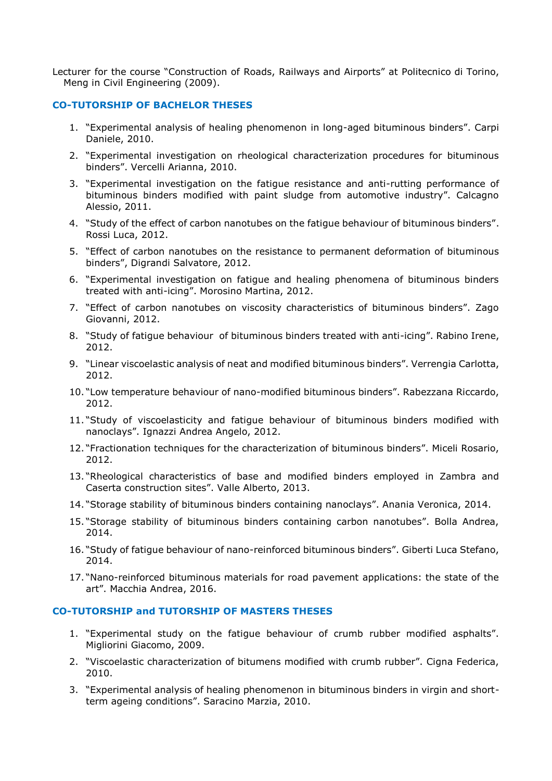Lecturer for the course "Construction of Roads, Railways and Airports" at Politecnico di Torino, Meng in Civil Engineering (2009).

### **CO-TUTORSHIP OF BACHELOR THESES**

- 1. "Experimental analysis of healing phenomenon in long-aged bituminous binders". Carpi Daniele, 2010.
- 2. "Experimental investigation on rheological characterization procedures for bituminous binders". Vercelli Arianna, 2010.
- 3. "Experimental investigation on the fatigue resistance and anti-rutting performance of bituminous binders modified with paint sludge from automotive industry". Calcagno Alessio, 2011.
- 4. "Study of the effect of carbon nanotubes on the fatigue behaviour of bituminous binders". Rossi Luca, 2012.
- 5. "Effect of carbon nanotubes on the resistance to permanent deformation of bituminous binders", Digrandi Salvatore, 2012.
- 6. "Experimental investigation on fatigue and healing phenomena of bituminous binders treated with anti-icing". Morosino Martina, 2012.
- 7. "Effect of carbon nanotubes on viscosity characteristics of bituminous binders". Zago Giovanni, 2012.
- 8. "Study of fatigue behaviour of bituminous binders treated with anti-icing". Rabino Irene, 2012.
- 9. "Linear viscoelastic analysis of neat and modified bituminous binders". Verrengia Carlotta, 2012.
- 10. "Low temperature behaviour of nano-modified bituminous binders". Rabezzana Riccardo, 2012.
- 11. "Study of viscoelasticity and fatigue behaviour of bituminous binders modified with nanoclays". Ignazzi Andrea Angelo, 2012.
- 12. "Fractionation techniques for the characterization of bituminous binders". Miceli Rosario, 2012.
- 13. "Rheological characteristics of base and modified binders employed in Zambra and Caserta construction sites". Valle Alberto, 2013.
- 14. "Storage stability of bituminous binders containing nanoclays". Anania Veronica, 2014.
- 15. "Storage stability of bituminous binders containing carbon nanotubes". Bolla Andrea, 2014.
- 16. "Study of fatigue behaviour of nano-reinforced bituminous binders". Giberti Luca Stefano, 2014.
- 17. "Nano-reinforced bituminous materials for road pavement applications: the state of the art". Macchia Andrea, 2016.

#### **CO-TUTORSHIP and TUTORSHIP OF MASTERS THESES**

- 1. "Experimental study on the fatigue behaviour of crumb rubber modified asphalts". Migliorini Giacomo, 2009.
- 2. "Viscoelastic characterization of bitumens modified with crumb rubber". Cigna Federica, 2010.
- 3. "Experimental analysis of healing phenomenon in bituminous binders in virgin and shortterm ageing conditions". Saracino Marzia, 2010.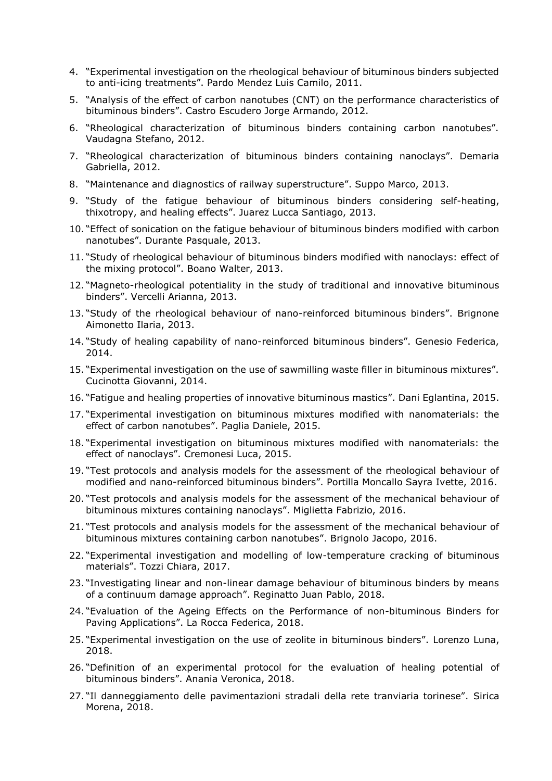- 4. "Experimental investigation on the rheological behaviour of bituminous binders subjected to anti-icing treatments". Pardo Mendez Luis Camilo, 2011.
- 5. "Analysis of the effect of carbon nanotubes (CNT) on the performance characteristics of bituminous binders". Castro Escudero Jorge Armando, 2012.
- 6. "Rheological characterization of bituminous binders containing carbon nanotubes". Vaudagna Stefano, 2012.
- 7. "Rheological characterization of bituminous binders containing nanoclays". Demaria Gabriella, 2012.
- 8. "Maintenance and diagnostics of railway superstructure". Suppo Marco, 2013.
- 9. "Study of the fatigue behaviour of bituminous binders considering self-heating, thixotropy, and healing effects". Juarez Lucca Santiago, 2013.
- 10. "Effect of sonication on the fatigue behaviour of bituminous binders modified with carbon nanotubes". Durante Pasquale, 2013.
- 11. "Study of rheological behaviour of bituminous binders modified with nanoclays: effect of the mixing protocol". Boano Walter, 2013.
- 12. "Magneto-rheological potentiality in the study of traditional and innovative bituminous binders". Vercelli Arianna, 2013.
- 13. "Study of the rheological behaviour of nano-reinforced bituminous binders". Brignone Aimonetto Ilaria, 2013.
- 14. "Study of healing capability of nano-reinforced bituminous binders". Genesio Federica, 2014.
- 15. "Experimental investigation on the use of sawmilling waste filler in bituminous mixtures". Cucinotta Giovanni, 2014.
- 16. "Fatigue and healing properties of innovative bituminous mastics". Dani Eglantina, 2015.
- 17. "Experimental investigation on bituminous mixtures modified with nanomaterials: the effect of carbon nanotubes". Paglia Daniele, 2015.
- 18. "Experimental investigation on bituminous mixtures modified with nanomaterials: the effect of nanoclays". Cremonesi Luca, 2015.
- 19. "Test protocols and analysis models for the assessment of the rheological behaviour of modified and nano-reinforced bituminous binders". Portilla Moncallo Sayra Ivette, 2016.
- 20. "Test protocols and analysis models for the assessment of the mechanical behaviour of bituminous mixtures containing nanoclays". Miglietta Fabrizio, 2016.
- 21. "Test protocols and analysis models for the assessment of the mechanical behaviour of bituminous mixtures containing carbon nanotubes". Brignolo Jacopo, 2016.
- 22. "Experimental investigation and modelling of low-temperature cracking of bituminous materials". Tozzi Chiara, 2017.
- 23. "Investigating linear and non-linear damage behaviour of bituminous binders by means of a continuum damage approach". Reginatto Juan Pablo, 2018.
- 24. "Evaluation of the Ageing Effects on the Performance of non-bituminous Binders for Paving Applications". La Rocca Federica, 2018.
- 25. "Experimental investigation on the use of zeolite in bituminous binders". Lorenzo Luna, 2018.
- 26. "Definition of an experimental protocol for the evaluation of healing potential of bituminous binders". Anania Veronica, 2018.
- 27. "Il danneggiamento delle pavimentazioni stradali della rete tranviaria torinese". Sirica Morena, 2018.